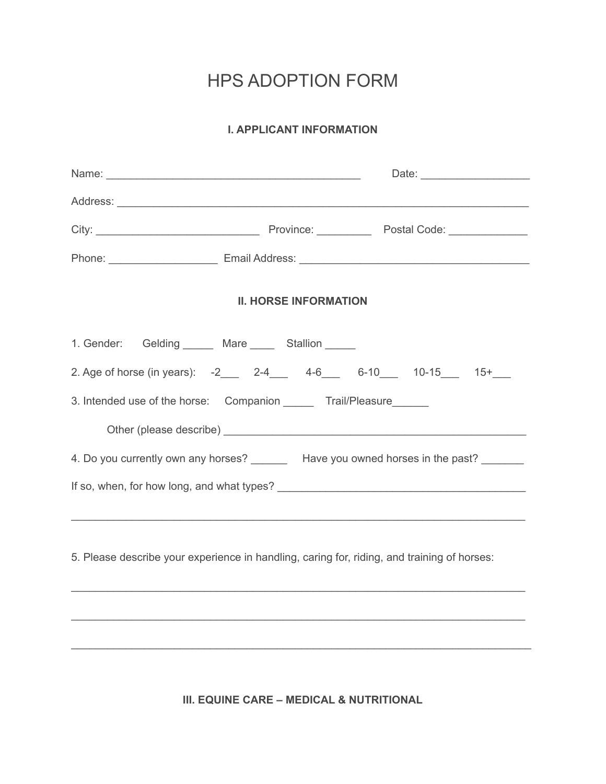## HPS ADOPTION FORM

## **I. APPLICANT INFORMATION**

| <b>II. HORSE INFORMATION</b>                                                                                                                                                                                                 |  |  |  |  |
|------------------------------------------------------------------------------------------------------------------------------------------------------------------------------------------------------------------------------|--|--|--|--|
|                                                                                                                                                                                                                              |  |  |  |  |
| 2. Age of horse (in years): -2 2-4 4-6 6-10 10-15 15+                                                                                                                                                                        |  |  |  |  |
| 3. Intended use of the horse: Companion _______ Trail/Pleasure______                                                                                                                                                         |  |  |  |  |
|                                                                                                                                                                                                                              |  |  |  |  |
|                                                                                                                                                                                                                              |  |  |  |  |
|                                                                                                                                                                                                                              |  |  |  |  |
|                                                                                                                                                                                                                              |  |  |  |  |
|                                                                                                                                                                                                                              |  |  |  |  |
|                                                                                                                                                                                                                              |  |  |  |  |
| 1. Gender: Gelding ______ Mare _____ Stallion _____<br>4. Do you currently own any horses? Have you owned horses in the past?<br>5. Please describe your experience in handling, caring for, riding, and training of horses: |  |  |  |  |

**III. EQUINE CARE – MEDICAL & NUTRITIONAL**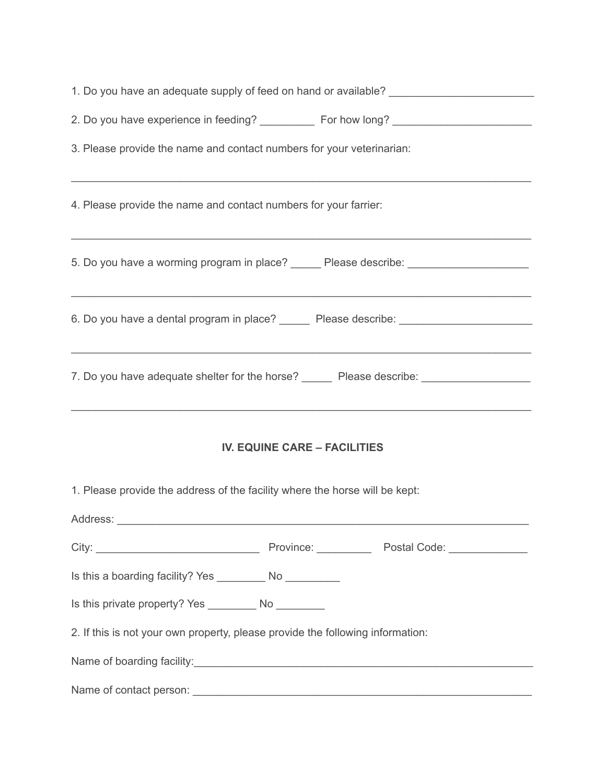| 1. Do you have an adequate supply of feed on hand or available? _________________                                                                                                                               |  |  |  |  |  |
|-----------------------------------------------------------------------------------------------------------------------------------------------------------------------------------------------------------------|--|--|--|--|--|
| 2. Do you have experience in feeding? ____________ For how long? ______________________                                                                                                                         |  |  |  |  |  |
| 3. Please provide the name and contact numbers for your veterinarian:                                                                                                                                           |  |  |  |  |  |
| 4. Please provide the name and contact numbers for your farrier:                                                                                                                                                |  |  |  |  |  |
| 5. Do you have a worming program in place? ______ Please describe: ______________                                                                                                                               |  |  |  |  |  |
| 6. Do you have a dental program in place? ______ Please describe: _____________________                                                                                                                         |  |  |  |  |  |
| 7. Do you have adequate shelter for the horse? ______ Please describe: ________________<br><u> 1989 - Johann John Stoff, amerikan besteht besteht aus dem Berlingen aus dem Berlingen aus dem Berlingen aus</u> |  |  |  |  |  |
| <b>IV. EQUINE CARE - FACILITIES</b>                                                                                                                                                                             |  |  |  |  |  |
| 1. Please provide the address of the facility where the horse will be kept:                                                                                                                                     |  |  |  |  |  |
|                                                                                                                                                                                                                 |  |  |  |  |  |
|                                                                                                                                                                                                                 |  |  |  |  |  |
| Is this a boarding facility? Yes ___________ No ___________                                                                                                                                                     |  |  |  |  |  |
|                                                                                                                                                                                                                 |  |  |  |  |  |
| 2. If this is not your own property, please provide the following information:                                                                                                                                  |  |  |  |  |  |
| Name of boarding facility:<br>Name of boarding facility:                                                                                                                                                        |  |  |  |  |  |
|                                                                                                                                                                                                                 |  |  |  |  |  |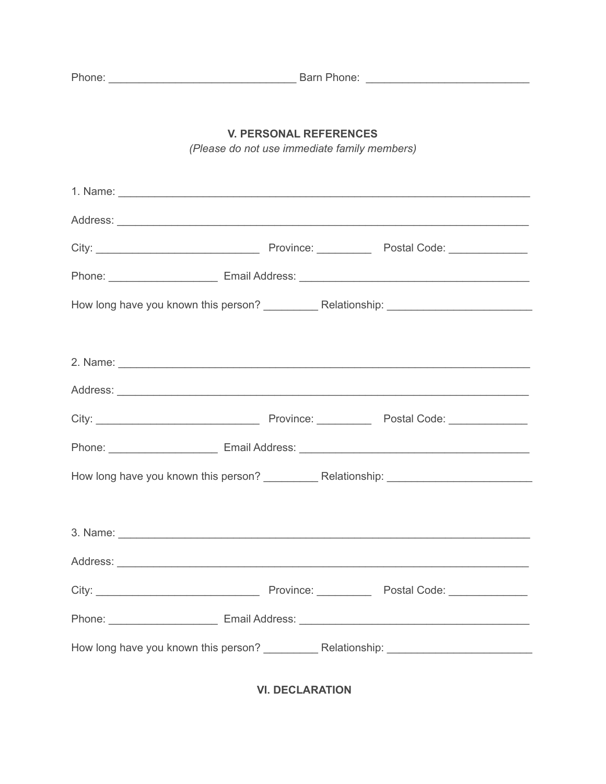| C | r |  |
|---|---|--|

## **V. PERSONAL REFERENCES**

(Please do not use immediate family members)

**VI. DECLARATION**